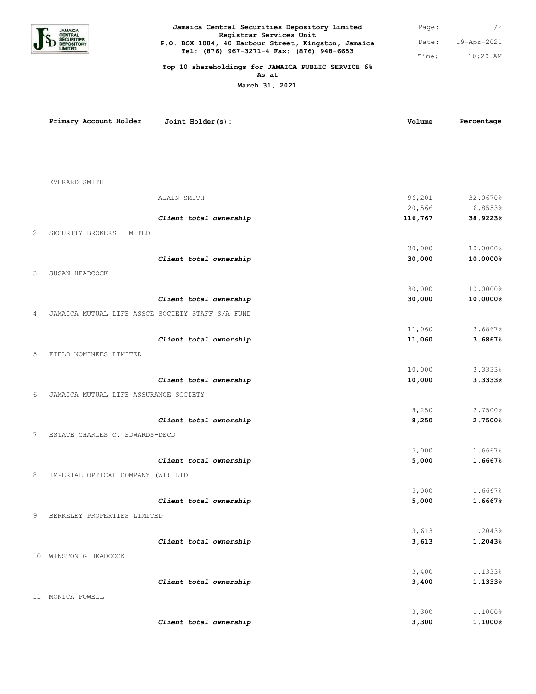

## Page: Time: **Jamaica Central Securities Depository Limited Registrar Services Unit P.O. BOX 1084, 40 Harbour Street, Kingston, Jamaica Tel: (876) 967-3271-4 Fax: (876) 948-6653**

## **Top 10 shareholdings for JAMAICA PUBLIC SERVICE 6% As at**

**March 31, 2021**

|              | Primary Account Holder                           | Joint Holder(s):       | Volume         | Percentage         |
|--------------|--------------------------------------------------|------------------------|----------------|--------------------|
|              |                                                  |                        |                |                    |
|              |                                                  |                        |                |                    |
| $\mathbf{1}$ | <b>EVERARD SMITH</b>                             |                        |                |                    |
|              |                                                  |                        |                |                    |
|              |                                                  | ALAIN SMITH            | 96,201         | 32.0670%           |
|              |                                                  |                        | 20,566         | 6.8553%            |
|              |                                                  | Client total ownership | 116,767        | 38.9223%           |
| 2            | SECURITY BROKERS LIMITED                         |                        |                |                    |
|              |                                                  |                        | 30,000         | 10.0000%           |
|              |                                                  | Client total ownership | 30,000         | 10.0000%           |
| 3            | SUSAN HEADCOCK                                   |                        |                |                    |
|              |                                                  |                        | 30,000         | 10.0000%           |
|              |                                                  | Client total ownership | 30,000         | 10.0000%           |
| 4            | JAMAICA MUTUAL LIFE ASSCE SOCIETY STAFF S/A FUND |                        |                |                    |
|              |                                                  |                        |                |                    |
|              |                                                  |                        | 11,060         | 3.6867%            |
|              |                                                  | Client total ownership | 11,060         | 3.6867%            |
| 5            | FIELD NOMINEES LIMITED                           |                        |                |                    |
|              |                                                  |                        | 10,000         | 3.3333%            |
|              |                                                  | Client total ownership | 10,000         | 3.3333%            |
| 6            | JAMAICA MUTUAL LIFE ASSURANCE SOCIETY            |                        |                |                    |
|              |                                                  |                        |                |                    |
|              |                                                  | Client total ownership | 8,250<br>8,250 | 2.7500%<br>2.7500% |
|              |                                                  |                        |                |                    |
| 7            | ESTATE CHARLES O. EDWARDS-DECD                   |                        |                |                    |
|              |                                                  |                        | 5,000          | 1.6667%            |
|              |                                                  | Client total ownership | 5,000          | 1.6667%            |
| 8            | IMPERIAL OPTICAL COMPANY (WI) LTD                |                        |                |                    |
|              |                                                  |                        | 5,000          | 1.6667%            |
|              |                                                  | Client total ownership | 5,000          | 1.6667%            |
| 9            | BERKELEY PROPERTIES LIMITED                      |                        |                |                    |
|              |                                                  |                        |                |                    |
|              |                                                  |                        | 3,613<br>3,613 | 1.2043%<br>1.2043% |
|              |                                                  | Client total ownership |                |                    |
|              | 10 WINSTON G HEADCOCK                            |                        |                |                    |
|              |                                                  |                        | 3,400          | 1.1333%            |
|              |                                                  | Client total ownership | 3,400          | 1.1333%            |
|              | 11 MONICA POWELL                                 |                        |                |                    |
|              |                                                  |                        | 3,300          | 1.1000%            |
|              |                                                  | Client total ownership | 3,300          | 1.1000%            |

1/2

10:20 AM

19-Apr-2021 Date: